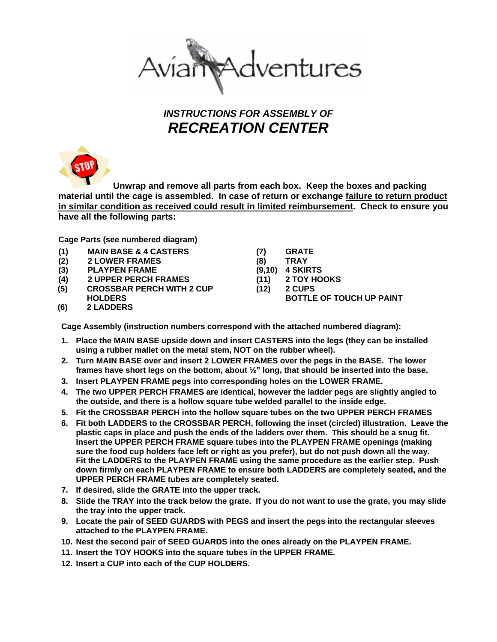

## *INSTRUCTIONS FOR ASSEMBLY OF RECREATION CENTER*



 **Unwrap and remove all parts from each box. Keep the boxes and packing material until the cage is assembled. In case of return or exchange failure to return product in similar condition as received could result in limited reimbursement. Check to ensure you have all the following parts:**

**Cage Parts (see numbered diagram)** 

- **(1) MAIN BASE & 4 CASTERS**
- **(2) 2 LOWER FRAMES**
- **(3) PLAYPEN FRAME**
- **(4) 2 UPPER PERCH FRAMES**
- **(5) CROSSBAR PERCH WITH 2 CUP**
- **HOLDERS**
- **(7) GRATE**
- **(8) TRAY (9,10) 4 SKIRTS**
- **(11) 2 TOY HOOKS**
- **(12) 2 CUPS** 
	- **BOTTLE OF TOUCH UP PAINT**

**(6) 2 LADDERS** 

**Cage Assembly (instruction numbers correspond with the attached numbered diagram):** 

- **1. Place the MAIN BASE upside down and insert CASTERS into the legs (they can be installed using a rubber mallet on the metal stem, NOT on the rubber wheel).**
- **2. Turn MAIN BASE over and insert 2 LOWER FRAMES over the pegs in the BASE. The lower frames have short legs on the bottom, about ½" long, that should be inserted into the base.**
- **3. Insert PLAYPEN FRAME pegs into corresponding holes on the LOWER FRAME.**
- **4. The two UPPER PERCH FRAMES are identical, however the ladder pegs are slightly angled to the outside, and there is a hollow square tube welded parallel to the inside edge.**
- **5. Fit the CROSSBAR PERCH into the hollow square tubes on the two UPPER PERCH FRAMES**
- **6. Fit both LADDERS to the CROSSBAR PERCH, following the inset (circled) illustration. Leave the plastic caps in place and push the ends of the ladders over them. This should be a snug fit. Insert the UPPER PERCH FRAME square tubes into the PLAYPEN FRAME openings (making sure the food cup holders face left or right as you prefer), but do not push down all the way. Fit the LADDERS to the PLAYPEN FRAME using the same procedure as the earlier step. Push down firmly on each PLAYPEN FRAME to ensure both LADDERS are completely seated, and the UPPER PERCH FRAME tubes are completely seated.**
- **7. If desired, slide the GRATE into the upper track.**
- **8. Slide the TRAY into the track below the grate. If you do not want to use the grate, you may slide the tray into the upper track.**
- **9. Locate the pair of SEED GUARDS with PEGS and insert the pegs into the rectangular sleeves attached to the PLAYPEN FRAME.**
- **10. Nest the second pair of SEED GUARDS into the ones already on the PLAYPEN FRAME.**
- **11. Insert the TOY HOOKS into the square tubes in the UPPER FRAME.**
- **12. Insert a CUP into each of the CUP HOLDERS.**